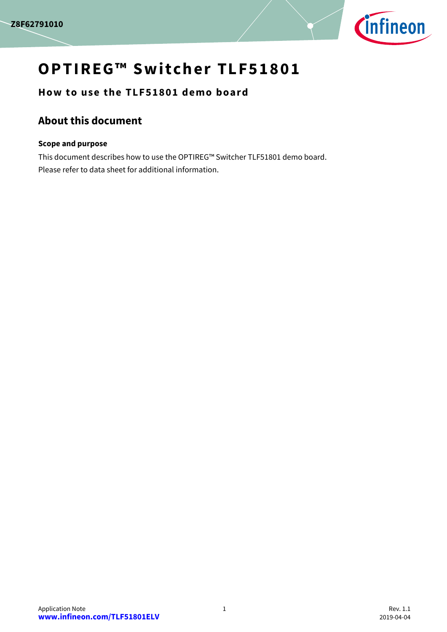

# **OPTIREG™ Switcher TLF51801**

**How to use the TLF51801 demo board**

## <span id="page-0-0"></span>**About this document**

#### **Scope and purpose**

This document describes how to use the OPTIREG™ Switcher TLF51801 demo board. Please refer to data sheet for additional information.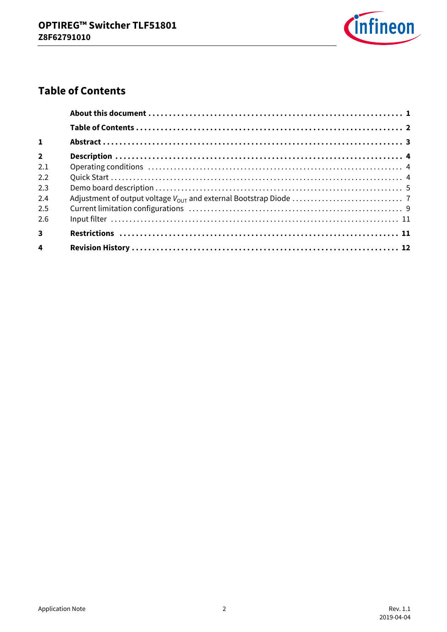

# <span id="page-1-0"></span>**Table of Contents**

| $\mathbf{1}$            |  |
|-------------------------|--|
| $\overline{2}$          |  |
| 2.1                     |  |
| 2.2                     |  |
| 2.3                     |  |
| 2.4                     |  |
| 2.5                     |  |
| 2.6                     |  |
| $\overline{3}$          |  |
| $\overline{\mathbf{4}}$ |  |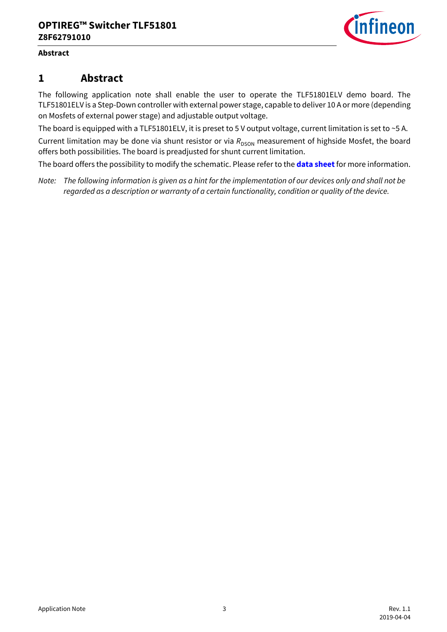

#### **Abstract**

### <span id="page-2-0"></span>**1 Abstract**

The following application note shall enable the user to operate the TLF51801ELV demo board. The TLF51801ELV is a Step-Down controller with external power stage, capable to deliver 10 A or more (depending on Mosfets of external power stage) and adjustable output voltage.

The board is equipped with a TLF51801ELV, it is preset to 5 V output voltage, current limitation is set to ~5 A.

Current limitation may be done via shunt resistor or via R<sub>DSON</sub> measurement of highside Mosfet, the board offers both possibilities. The board is preadjusted for shunt current limitation.

The board offers the possibility to modify the schematic. Please refer to the **[data sheet](https://www.infineon.com/TLF51801ELV)** for more information.

*Note: The following information is given as a hint for the implementation of our devices only and shall not be regarded as a description or warranty of a certain functionality, condition or quality of the device.*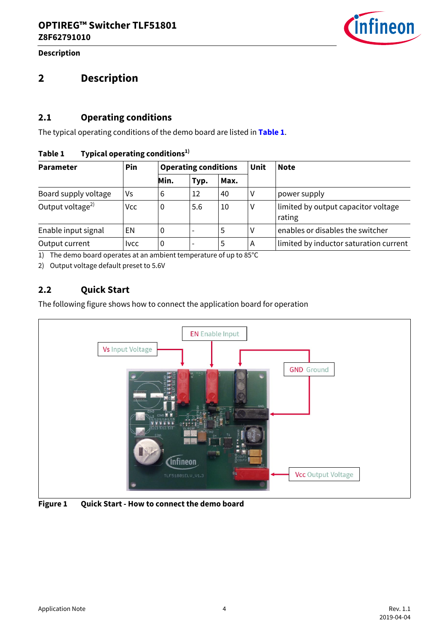

**Description**

## <span id="page-3-0"></span>**2 Description**

### <span id="page-3-1"></span>**2.1 Operating conditions**

The typical operating conditions of the demo board are listed in **[Table 1](#page-3-3)**.

#### <span id="page-3-3"></span>**Table 1 Typical operating conditions1)**

| <b>Parameter</b>       | Pin          | <b>Operating conditions</b> |      |      | Unit | <b>Note</b>                                   |
|------------------------|--------------|-----------------------------|------|------|------|-----------------------------------------------|
|                        |              | Min.                        | Typ. | Max. |      |                                               |
| Board supply voltage   | ٧s           | 6                           | 12   | 40   |      | power supply                                  |
| Output voltage $^{2)}$ | Vcc          | 0                           | 5.6  | 10   |      | limited by output capacitor voltage<br>rating |
| Enable input signal    | EN           | υ                           |      | 5    |      | enables or disables the switcher              |
| Output current         | <b>I</b> vcc | 0                           |      | 5    | А    | limited by inductor saturation current        |

1) The demo board operates at an ambient temperature of up to 85°C

2) Output voltage default preset to 5.6V

### <span id="page-3-2"></span>**2.2 Quick Start**

The following figure shows how to connect the application board for operation



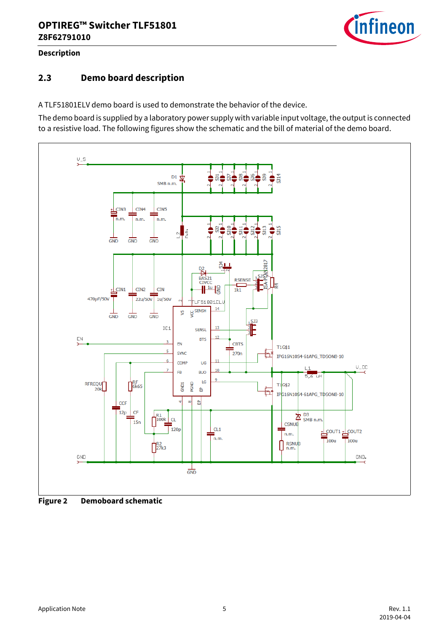

### **Description**

### <span id="page-4-0"></span>**2.3 Demo board description**

A TLF51801ELV demo board is used to demonstrate the behavior of the device.

The demo board is supplied by a laboratory power supply with variable input voltage, the output is connected to a resistive load. The following figures show the schematic and the bill of material of the demo board.



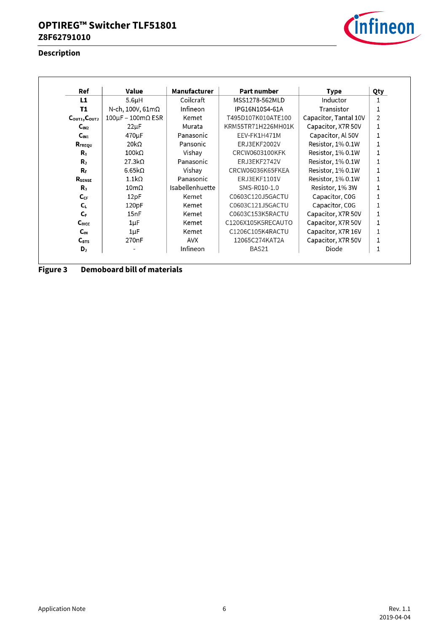### **Description**



| Ref                                   | Value                   | <b>Manufacturer</b> | Part number        | Type                  | Qty |
|---------------------------------------|-------------------------|---------------------|--------------------|-----------------------|-----|
| L1                                    | 5.6 <sub>µ</sub> H      | Coilcraft           | MSS1278-562MLD     | Inductor              | 1   |
| T1                                    | N-ch, 100V, $61m\Omega$ | Infineon            | IPG16N10S4-61A     | Transistor            | 1   |
| $C_{\text{OUT1}}$ , $C_{\text{OUT2}}$ | $100\mu$ F – 100mΩ ESR  | Kemet               | T495D107K010ATE100 | Capacitor, Tantal 10V | 2   |
| C <sub>IN2</sub>                      | $22\mu F$               | Murata              | KRM55TR71H226MH01K | Capacitor, X7R 50V    | 1   |
| C <sub>IN1</sub>                      | 470 <sub>u</sub> F      | Panasonic           | EEV-FK1H471M       | Capacitor, Al 50V     | 1   |
| RFREQU                                | 20 $k\Omega$            | Pansonic            | ERJ3EKF2002V       | Resistor, 1% 0.1W     | 1   |
| R.                                    | $100k\Omega$            | Vishay              | CRCW0603100KFK     | Resistor, 1% 0.1W     | 1   |
| $\mathbf{R}_{2}$                      | $27.3k\Omega$           | Panasonic           | ERJ3EKF2742V       | Resistor, 1% 0.1W     | 1   |
| R.                                    | 6.65 $k\Omega$          | Vishay              | CRCW06036K65FKEA   | Resistor, 1% 0.1W     | 1   |
| RSENSE                                | $1.1k\Omega$            | Panasonic           | ERJ3EKF1101V       | Resistor, 1% 0.1W     | 1   |
| R.                                    | $10 \text{m}\Omega$     | Isabellenhuette     | SMS-R010-1.0       | Resistor, 1% 3W       | 1   |
| $C_{CF}$                              | 12pF                    | Kemet               | C0603C120J5GACTU   | Capacitor, COG        | 1   |
| $C_{L}$                               | 120pF                   | Kemet               | C0603C121J5GACTU   | Capacitor, C0G        | 1   |
| $C_{F}$                               | 15nF                    | Kemet               | C0603C153K5RACTU   | Capacitor, X7R 50V    | 1   |
| C <sub>NCC</sub>                      | $1 \mu F$               | Kemet               | C1206X105K5RECAUTO | Capacitor, X7R 50V    | 1   |
| $C_{IN}$                              | $1\mu$ F                | Kemet               | C1206C105K4RACTU   | Capacitor, X7R 16V    | 1   |
| $C_{\text{BTS}}$                      | 270 <sub>n</sub> F      | AVX                 | 12065C274KAT2A     | Capacitor, X7R 50V    | 1   |
| D <sub>2</sub>                        |                         | Infineon            | BAS21              | Diode                 | 1   |

**Figure 3 Demoboard bill of materials**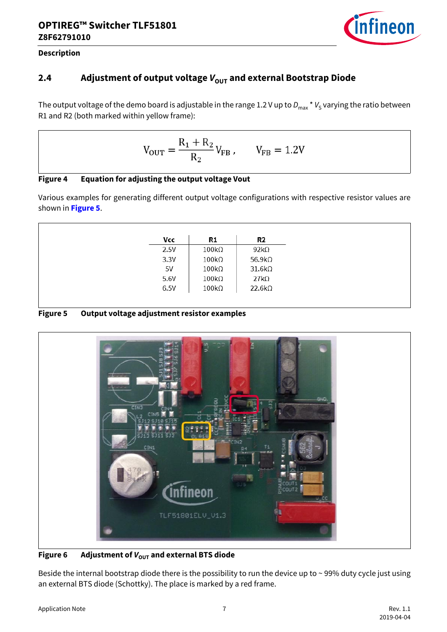

### **Description**

### <span id="page-6-0"></span>**2.4** Adjustment of output voltage  $V_{\text{out}}$  and external Bootstrap Diode

The output voltage of the demo board is adjustable in the range 1.2 V up to  $D_{max} * V_S$  varying the ratio between R1 and R2 (both marked within yellow frame):

$$
V_{\text{OUT}} = \frac{R_1 + R_2}{R_2} V_{\text{FB}} , \qquad V_{\text{FB}} = 1.2 V
$$

| Figure 4 |  | <b>Equation for adjusting the output voltage Vout</b> |
|----------|--|-------------------------------------------------------|
|          |  |                                                       |

Various examples for generating different output voltage configurations with respective resistor values are shown in **[Figure 5](#page-6-1)**.

| Vcc  | R1                    | R2             |
|------|-----------------------|----------------|
| 2.5V | $100\text{k}\Omega$   | $92k\Omega$    |
| 3.3V | $100\mathrm{k}\Omega$ | 56.9k $\Omega$ |
| 5V   | $100k\Omega$          | $31.6k\Omega$  |
| 5.6V | $100k\Omega$          | $27k\Omega$    |
| 6.5V | $100k\Omega$          | $22.6k\Omega$  |

#### <span id="page-6-1"></span>**Figure 5 Output voltage adjustment resistor examples**



Figure 6 Adjustment of  $V_{\text{OUT}}$  and external BTS diode

Beside the internal bootstrap diode there is the possibility to run the device up to  $\sim$  99% duty cycle just using an external BTS diode (Schottky). The place is marked by a red frame.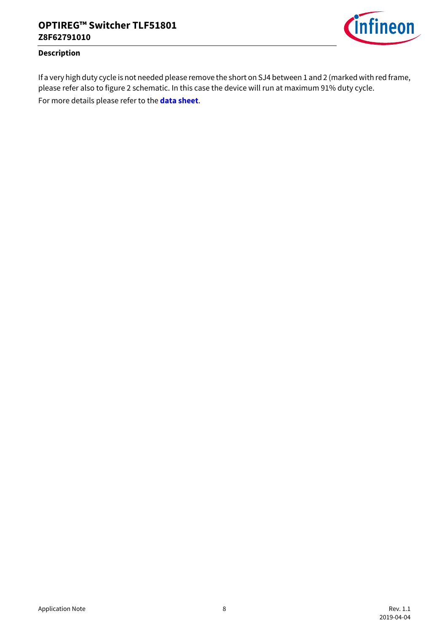

#### **Description**

If a very high duty cycle is not needed please remove the short on SJ4 between 1 and 2 (marked with red frame, please refer also to figure 2 schematic. In this case the device will run at maximum 91% duty cycle.

For more details please refer to the **[data sheet](https://www.infineon.com/TLF51801ELV)**.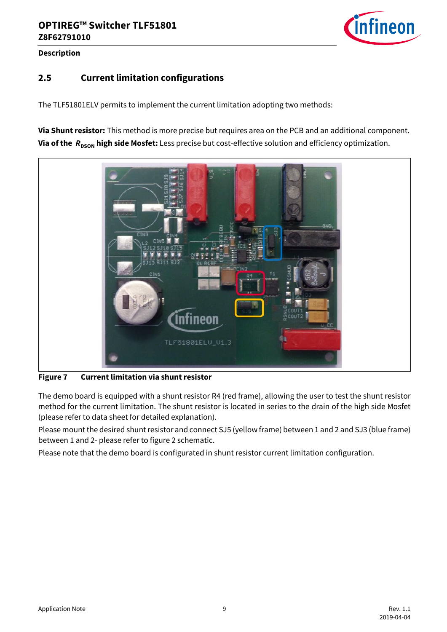

#### **Description**

### <span id="page-8-0"></span>**2.5 Current limitation configurations**

The TLF51801ELV permits to implement the current limitation adopting two methods:

**Via Shunt resistor:** This method is more precise but requires area on the PCB and an additional component. **Via of the**  $R_{DSON}$  **high side Mosfet:** Less precise but cost-effective solution and efficiency optimization.



**Figure 7 Current limitation via shunt resistor**

The demo board is equipped with a shunt resistor R4 (red frame), allowing the user to test the shunt resistor method for the current limitation. The shunt resistor is located in series to the drain of the high side Mosfet (please refer to data sheet for detailed explanation).

Please mount the desired shunt resistor and connect SJ5 (yellow frame) between 1 and 2 and SJ3 (blue frame) between 1 and 2- please refer to figure 2 schematic.

Please note that the demo board is configurated in shunt resistor current limitation configuration.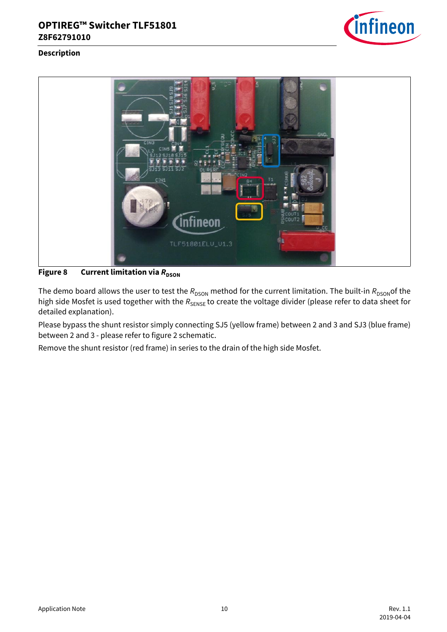

#### **Description**



**Figure 8** Current limitation via  $R_{DSON}$ 

The demo board allows the user to test the  $R_{DSON}$  method for the current limitation. The built-in  $R_{DSON}$ of the high side Mosfet is used together with the  $R_{\text{SENSE}}$  to create the voltage divider (please refer to data sheet for detailed explanation).

Please bypass the shunt resistor simply connecting SJ5 (yellow frame) between 2 and 3 and SJ3 (blue frame) between 2 and 3 - please refer to figure 2 schematic.

Remove the shunt resistor (red frame) in series to the drain of the high side Mosfet.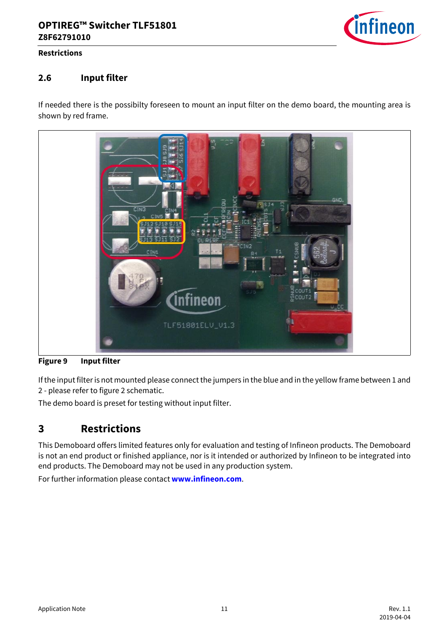

#### **Restrictions**

### <span id="page-10-0"></span>**2.6 Input filter**

If needed there is the possibilty foreseen to mount an input filter on the demo board, the mounting area is shown by red frame.



**Figure 9 Input filter**

If the input filter is not mounted please connect the jumpers in the blue and in the yellow frame between 1 and 2 - please refer to figure 2 schematic.

The demo board is preset for testing without input filter.

### <span id="page-10-1"></span>**3 Restrictions**

This Demoboard offers limited features only for evaluation and testing of Infineon products. The Demoboard is not an end product or finished appliance, nor is it intended or authorized by Infineon to be integrated into end products. The Demoboard may not be used in any production system.

For further information please contact **www.infineon.com**.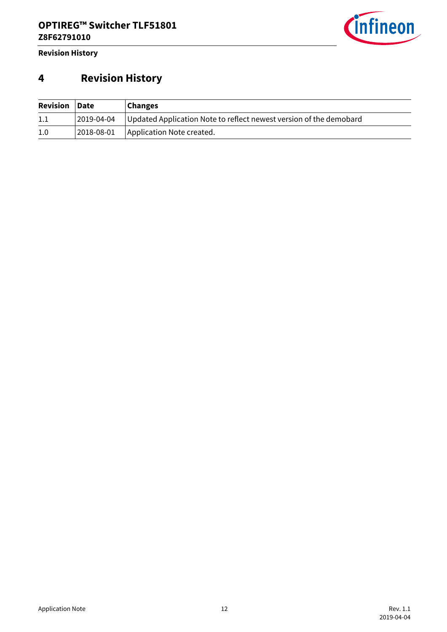

**Revision History**

# <span id="page-11-0"></span>**4 Revision History**

| <b>Revision Date</b> |            | <b>Changes</b>                                                     |
|----------------------|------------|--------------------------------------------------------------------|
| 1.1                  | 2019-04-04 | Updated Application Note to reflect newest version of the demobard |
| 1.0                  | 2018-08-01 | Application Note created.                                          |